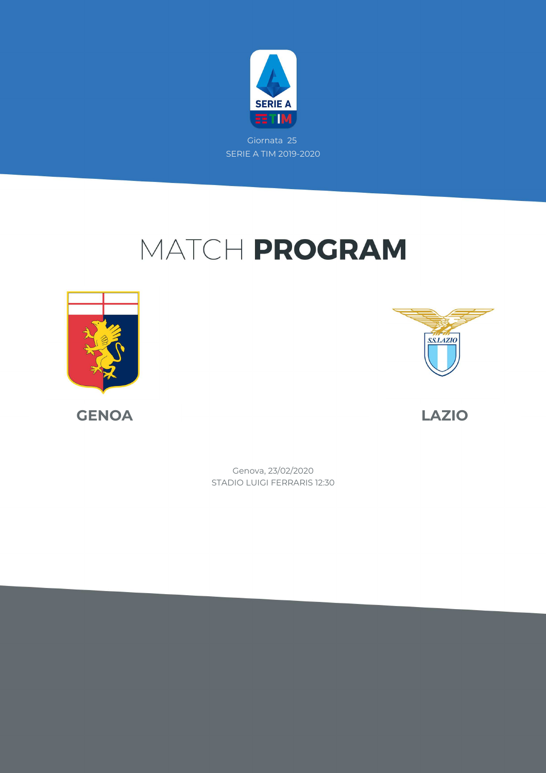

Giornata 25 SERIE A TIM 2019-2020

# MATCH PROGRAM





**GENOA LAZIO**

STADIO LUIGI FERRARIS 12:30 Genova, 23/02/2020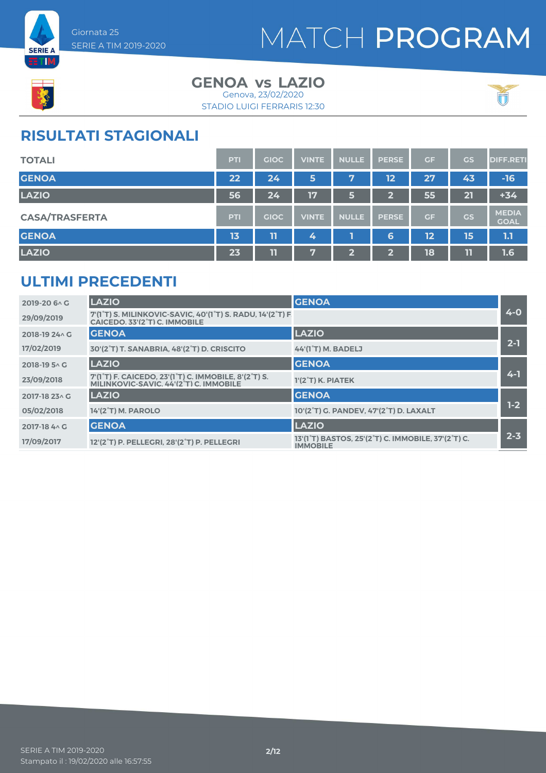



#### **GENOA LAZIO vs** Genova, 23/02/2020

STADIO LUIGI FERRARIS 12:30



### **RISULTATI STAGIONALI**

| <b>TOTALI</b>         | <b>PTI</b> | <b>GIOC</b> | <b>VINTE</b> | <b>NULLE</b> | <b>PERSE</b>            | GF        | <b>GS</b> | <b>DIFF.RETI</b>            |
|-----------------------|------------|-------------|--------------|--------------|-------------------------|-----------|-----------|-----------------------------|
| <b>GENOA</b>          | 22         | 24          | 5            | 7            | 12                      | 27        | 43        | $-16$                       |
| <b>LAZIO</b>          | 56         | 24          | 17           | 5            | $\overline{\mathbf{2}}$ | 55        | 21        | $+34$                       |
| <b>CASA/TRASFERTA</b> | <b>PTI</b> | <b>GIOC</b> | <b>VINTE</b> | <b>NULLE</b> | <b>PERSE</b>            | <b>GF</b> | <b>GS</b> | <b>MEDIA</b><br><b>GOAL</b> |
| <b>GENOA</b>          | 13         | Τ           | 4            |              | 6                       | 12        | 15        | 1.1                         |
| <b>LAZIO</b>          | 23         | 11          | 57           | $\mathbf{Z}$ | ∍<br>z                  | 18        | 11        | 1.6                         |

### **ULTIMI PRECEDENTI**

| 2019-20 6 \ G  | <b>LAZIO</b>                                                                                                                          | <b>GENOA</b>                                                                                                 |         |
|----------------|---------------------------------------------------------------------------------------------------------------------------------------|--------------------------------------------------------------------------------------------------------------|---------|
| 29/09/2019     | 7'(1°T) S. MILINKOVIC-SAVIC, 40'(1°T) S. RADU, 14'(2°T) F.<br>CAICEDO, 33'(2 <sup>°</sup> T) C. IMMOBILE                              |                                                                                                              | $4 - 0$ |
| 2018-19 24 \ G | <b>GENOA</b>                                                                                                                          | <b>LAZIO</b>                                                                                                 |         |
| 17/02/2019     | 30'(2°T) T. SANABRIA, 48'(2°T) D. CRISCITO                                                                                            | 44'(1 <sup>°</sup> T) M. BADELJ                                                                              | $2 - 1$ |
| 2018-19 5 AG   | <b>LAZIO</b>                                                                                                                          | <b>GENOA</b>                                                                                                 |         |
| 23/09/2018     | 7'(1 <sup>°</sup> T) F. CAICEDO, 23'(1 <sup>°</sup> T) C. IMMOBILE, 8'(2 <sup>°</sup> T) S.<br>MILINKOVIC-SAVIC, 44'(2°T) C. IMMOBILE | $1'(2°T)$ K. PIATEK                                                                                          | $4 - 1$ |
| 2017-18 23 \ G | <b>LAZIO</b>                                                                                                                          | <b>GENOA</b>                                                                                                 |         |
| 05/02/2018     | 14'(2°T) M. PAROLO                                                                                                                    | 10'(2°T) G. PANDEV, 47'(2°T) D. LAXALT                                                                       | $1-2$   |
| 2017-18 4 \ G  | <b>GENOA</b>                                                                                                                          | <b>LAZIO</b>                                                                                                 |         |
| 17/09/2017     | 12'(2 <sup>°</sup> T) P. PELLEGRI, 28'(2 <sup>°</sup> T) P. PELLEGRI                                                                  | 13'(1 <sup>°</sup> T) BASTOS, 25'(2 <sup>°</sup> T) C. IMMOBILE, 37'(2 <sup>°</sup> T) C.<br><b>IMMOBILE</b> | $2 - 3$ |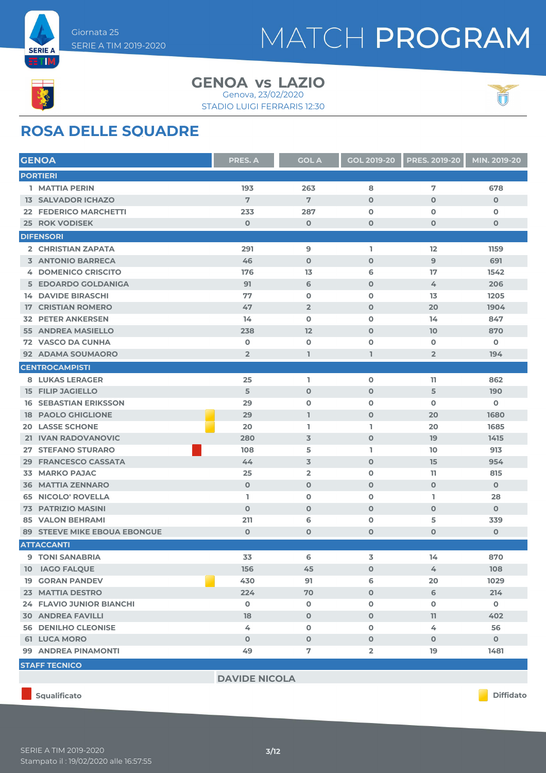



#### **GENOA LAZIO vs** Genova, 23/02/2020



STADIO LUIGI FERRARIS 12:30

### **ROSA DELLE SQUADRE**

|    | <b>GENOA</b>                        | <b>PRES. A</b>       | <b>GOL A</b>   | <b>GOL 2019-20</b> | <b>PRES. 2019-20</b> | MIN. 2019-20 |
|----|-------------------------------------|----------------------|----------------|--------------------|----------------------|--------------|
|    | <b>PORTIERI</b>                     |                      |                |                    |                      |              |
|    | 1 MATTIA PERIN                      | 193                  | 263            | 8                  | 7                    | 678          |
|    | <b>13 SALVADOR ICHAZO</b>           | 7                    | 7              | $\mathbf 0$        | $\mathbf{O}$         | $\mathbf 0$  |
|    | 22 FEDERICO MARCHETTI               | 233                  | 287            | $\mathbf 0$        | $\mathbf 0$          | $\mathbf 0$  |
|    | <b>25 ROK VODISEK</b>               | $\mathbf 0$          | $\mathbf 0$    | $\mathbf 0$        | $\mathbf 0$          | $\mathbf 0$  |
|    | <b>DIFENSORI</b>                    |                      |                |                    |                      |              |
|    | 2 CHRISTIAN ZAPATA                  | 291                  | 9              | L.                 | 12                   | 1159         |
|    | <b>3 ANTONIO BARRECA</b>            | 46                   | $\mathbf 0$    | $\mathbf 0$        | $\overline{9}$       | 691          |
|    | <b>4 DOMENICO CRISCITO</b>          | 176                  | 13             | 6                  | 17                   | 1542         |
|    | 5 EDOARDO GOLDANIGA                 | 91                   | 6              | $\mathbf 0$        | 4                    | 206          |
|    | <b>14 DAVIDE BIRASCHI</b>           | 77                   | $\mathbf 0$    | $\mathbf 0$        | 13                   | 1205         |
| 17 | <b>CRISTIAN ROMERO</b>              | 47                   | $\overline{2}$ | $\mathbf 0$        | 20                   | 1904         |
|    | <b>32 PETER ANKERSEN</b>            | 14                   | $\mathbf 0$    | $\mathbf 0$        | 14                   | 847          |
|    | <b>55 ANDREA MASIELLO</b>           | 238                  | 12             | $\mathbf 0$        | 10                   | 870          |
|    | <b>72 VASCO DA CUNHA</b>            | O                    | $\mathbf 0$    | $\mathbf 0$        | $\mathbf 0$          | $\mathbf 0$  |
|    | 92 ADAMA SOUMAORO                   | $\overline{2}$       | ı              | ı                  | $\overline{2}$       | 194          |
|    | <b>CENTROCAMPISTI</b>               |                      |                |                    |                      |              |
|    | <b>8 LUKAS LERAGER</b>              | 25                   | L              | $\mathbf 0$        | 11                   | 862          |
|    | <b>15 FILIP JAGIELLO</b>            | 5                    | $\mathbf 0$    | $\mathbf 0$        | 5                    | 190          |
|    | <b>16 SEBASTIAN ERIKSSON</b>        | 29                   | $\mathbf 0$    | $\mathbf 0$        | $\mathbf 0$          | $\mathbf 0$  |
|    | <b>18 PAOLO GHIGLIONE</b>           | 29                   | L              | $\mathbf{O}$       | 20                   | 1680         |
|    | <b>20 LASSE SCHONE</b>              | 20                   | L.             | L.                 | 20                   | 1685         |
|    | 21 IVAN RADOVANOVIC                 | 280                  | $\overline{3}$ | $\mathbf 0$        | 19                   | 1415         |
|    | 27 STEFANO STURARO                  | 108                  | 5              | I.                 | 10                   | 913          |
|    | 29 FRANCESCO CASSATA                | 44                   | 3              | $\mathbf{O}$       | 15                   | 954          |
|    | <b>33 MARKO PAJAC</b>               | 25                   | $\overline{2}$ | $\mathbf 0$        | 11                   | 815          |
|    | <b>36 MATTIA ZENNARO</b>            | $\mathbf 0$          | $\mathbf 0$    | $\mathbf 0$        | $\mathbf{O}$         | $\mathbf 0$  |
|    | <b>65 NICOLO' ROVELLA</b>           | L.                   | $\mathbf 0$    | $\mathbf 0$        | L.                   | 28           |
|    | 73 PATRIZIO MASINI                  | $\mathbf 0$          | $\mathbf 0$    | $\mathbf 0$        | $\mathbf{O}$         | $\mathbf 0$  |
|    | <b>85 VALON BEHRAMI</b>             | 211                  | 6              | O                  | 5                    | 339          |
|    | <b>89 STEEVE MIKE EBOUA EBONGUE</b> | $\mathbf 0$          | $\mathbf 0$    | $\mathbf 0$        | $\mathbf 0$          | $\mathbf 0$  |
|    | <b>ATTACCANTI</b>                   |                      |                |                    |                      |              |
|    | <b>9 TONI SANABRIA</b>              | 33                   | 6              | 3                  | 14                   | 870          |
|    | 10 IAGO FALQUE                      | 156                  | 45             | $\mathbf 0$        | 4                    | 108          |
|    | <b>19 GORAN PANDEV</b>              | 430                  | 91             | 6                  | 20                   | 1029         |
|    | 23 MATTIA DESTRO                    | 224                  | 70             | $\mathbf 0$        | 6                    | 214          |
|    | <b>24 FLAVIO JUNIOR BIANCHI</b>     | $\mathbf 0$          | $\mathbf 0$    | $\mathbf 0$        | 0                    | $\mathbf 0$  |
|    | <b>30 ANDREA FAVILLI</b>            | 18                   | $\mathbf 0$    | $\mathbf 0$        | 11                   | 402          |
|    | <b>56 DENILHO CLEONISE</b>          | 4                    | $\mathbf 0$    | 0                  | 4                    | 56           |
|    | <b>61 LUCA MORO</b>                 | $\mathbf 0$          | $\mathbf 0$    | $\mathbf 0$        | $\mathbf 0$          | $\mathbf{O}$ |
|    | 99 ANDREA PINAMONTI                 | 49                   | 7              | $\overline{2}$     | 19                   | 1481         |
|    | <b>STAFF TECNICO</b>                |                      |                |                    |                      |              |
|    |                                     | <b>DAVIDE NICOLA</b> |                |                    |                      |              |
|    |                                     |                      |                |                    |                      |              |

**Squalificato Diffidato**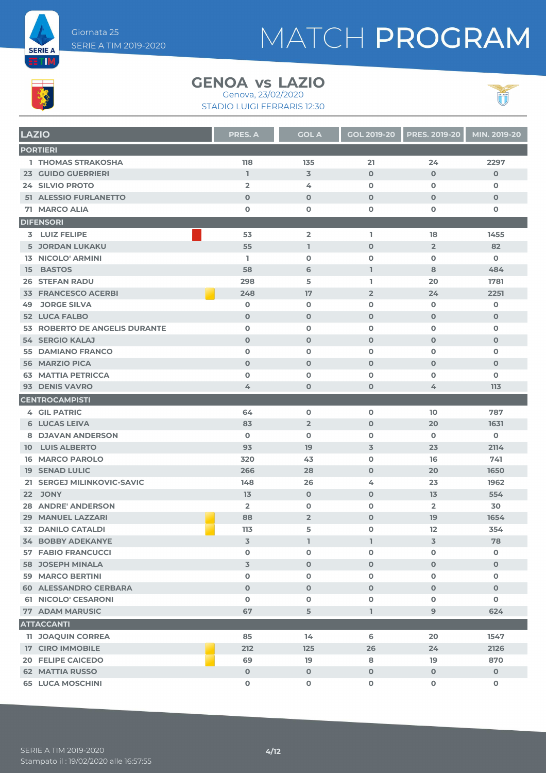



### **GENOA LAZIO vs**

STADIO LUIGI FERRARIS 12:30 Genova, 23/02/2020



|    | <b>LAZIO</b>                                     | <b>PRES. A</b>             | <b>GOL A</b>     | <b>GOL 2019-20</b>         | <b>PRES. 2019-20</b>       | MIN. 2019-20               |
|----|--------------------------------------------------|----------------------------|------------------|----------------------------|----------------------------|----------------------------|
|    | <b>PORTIERI</b>                                  |                            |                  |                            |                            |                            |
|    | <b>1 THOMAS STRAKOSHA</b>                        | 118                        | 135              | 21                         | 24                         | 2297                       |
|    | <b>23 GUIDO GUERRIERI</b>                        | $\mathbf{I}$               | $\overline{3}$   | $\mathbf 0$                | $\mathbf 0$                | $\mathbf 0$                |
|    | <b>24 SILVIO PROTO</b>                           | $\overline{2}$             | 4                | $\mathbf 0$                | $\mathbf 0$                | $\mathbf 0$                |
|    | 51 ALESSIO FURLANETTO                            | $\mathbf 0$                | $\mathbf 0$      | $\mathbf 0$                | $\mathbf 0$                | $\mathbf 0$                |
|    | 71 MARCO ALIA                                    | $\mathbf 0$                | $\mathbf 0$      | $\mathbf 0$                | 0                          | 0                          |
|    | <b>DIFENSORI</b>                                 |                            |                  |                            |                            |                            |
|    | 3 LUIZ FELIPE                                    | 53                         | $\overline{2}$   | L.                         | 18                         | 1455                       |
|    | <b>5 JORDAN LUKAKU</b>                           | 55                         | L.               | $\mathbf 0$                | $\overline{2}$             | 82                         |
|    | <b>13 NICOLO' ARMINI</b>                         | L                          | $\mathbf 0$      | $\mathbf 0$                | $\mathbf 0$                | $\mathbf 0$                |
|    | 15 BASTOS                                        | 58                         | 6                | $\mathbf{1}$               | 8                          | 484                        |
|    | <b>26 STEFAN RADU</b>                            | 298                        | 5                | L                          | 20                         | 1781                       |
|    | <b>33 FRANCESCO ACERBI</b>                       | 248                        | 17               | $\overline{2}$             | 24                         | 2251                       |
| 49 | <b>JORGE SILVA</b><br><b>52 LUCA FALBO</b>       | $\mathbf 0$<br>$\mathbf 0$ | O<br>$\mathbf 0$ | $\mathbf 0$<br>$\mathbf 0$ | $\mathbf 0$<br>$\mathbf 0$ | $\mathbf 0$<br>$\mathbf 0$ |
|    | 53 ROBERTO DE ANGELIS DURANTE                    | $\mathbf 0$                | $\mathbf 0$      | $\mathbf 0$                | $\mathbf 0$                | $\mathbf 0$                |
|    | <b>54 SERGIO KALAJ</b>                           | $\mathbf 0$                | $\mathbf 0$      | $\mathbf 0$                | $\mathbf 0$                | $\mathbf 0$                |
|    | <b>55 DAMIANO FRANCO</b>                         | $\mathbf{o}$               | $\mathbf 0$      | $\mathbf 0$                | O                          | $\mathbf 0$                |
|    | <b>56 MARZIO PICA</b>                            | $\mathbf 0$                | $\mathbf 0$      | $\mathbf 0$                | $\mathbf 0$                | $\mathbf 0$                |
|    | <b>63 MATTIA PETRICCA</b>                        | $\mathbf{o}$               | $\mathbf 0$      | $\mathbf 0$                | $\mathbf o$                | $\mathbf 0$                |
|    | 93 DENIS VAVRO                                   | 4                          | $\mathbf 0$      | $\mathbf 0$                | 4                          | 113                        |
|    | <b>CENTROCAMPISTI</b>                            |                            |                  |                            |                            |                            |
|    | <b>4 GIL PATRIC</b>                              | 64                         | $\mathbf 0$      | $\mathbf 0$                | 10                         | 787                        |
|    | <b>6 LUCAS LEIVA</b>                             | 83                         | $\overline{2}$   | $\mathbf 0$                | 20                         | 1631                       |
|    | <b>8 DJAVAN ANDERSON</b>                         | $\mathbf 0$                | $\mathbf 0$      | $\mathbf 0$                | $\mathbf 0$                | $\mathbf 0$                |
|    | <b>10 LUIS ALBERTO</b>                           | 93                         | 19               | $\overline{3}$             | 23                         | 2114                       |
|    | <b>16 MARCO PAROLO</b>                           | 320                        | 43               | $\mathbf 0$                | 16                         | 741                        |
|    | <b>19 SENAD LULIC</b>                            | 266                        | 28               | $\mathbf 0$                | 20                         | 1650                       |
|    | 21 SERGEJ MILINKOVIC-SAVIC                       | 148                        | 26               | 4                          | 23                         | 1962                       |
|    | 22 JONY                                          | 13                         | $\mathbf 0$      | $\mathbf 0$                | 13                         | 554                        |
|    | <b>28 ANDRE' ANDERSON</b>                        | $\overline{2}$             | O                | $\mathbf 0$                | $\overline{2}$             | 30                         |
|    | <b>29 MANUEL LAZZARI</b>                         | 88                         | $\overline{2}$   | $\mathbf 0$                | 19                         | 1654                       |
|    | <b>32 DANILO CATALDI</b>                         | 113                        | 5                | $\mathbf 0$                | 12                         | 354                        |
|    | 34 BOBBY ADEKANYE                                | $\overline{\mathbf{3}}$    | $\mathbf{I}$     | T                          | 3                          | 78                         |
|    | <b>57 FABIO FRANCUCCI</b>                        | $\mathbf 0$                | 0                | $\mathbf 0$                | 0                          | 0                          |
|    | <b>58 JOSEPH MINALA</b>                          | $\overline{3}$             | $\mathbf{O}$     | $\mathbf 0$                | $\mathbf 0$                | $\mathbf 0$                |
|    | 59 MARCO BERTINI<br><b>60 ALESSANDRO CERBARA</b> | $\mathbf 0$<br>$\mathbf 0$ | O                | $\mathbf 0$<br>$\mathbf 0$ | $\mathbf 0$                | 0                          |
|    | 61 NICOLO' CESARONI                              | $\mathbf 0$                | $\mathbf 0$<br>O | $\mathbf 0$                | $\mathbf 0$<br>0           | $\mathbf 0$<br>0           |
|    | <b>77 ADAM MARUSIC</b>                           | 67                         | 5                | $\mathbf{I}$               | 9                          | 624                        |
|    | <b>ATTACCANTI</b>                                |                            |                  |                            |                            |                            |
|    | <b>11 JOAQUIN CORREA</b>                         | 85                         | 14               | 6                          | 20                         | 1547                       |
|    | <b>17 CIRO IMMOBILE</b>                          | 212                        | 125              | 26                         | 24                         | 2126                       |
|    | <b>20 FELIPE CAICEDO</b>                         | 69                         | 19               | 8                          | 19                         | 870                        |
|    | <b>62 MATTIA RUSSO</b>                           | $\mathbf 0$                | $\mathbf 0$      | $\mathbf 0$                | $\mathbf 0$                | $\mathbf 0$                |
|    | <b>65 LUCA MOSCHINI</b>                          | O                          | O                | $\mathbf 0$                | 0                          | $\mathbf 0$                |
|    |                                                  |                            |                  |                            |                            |                            |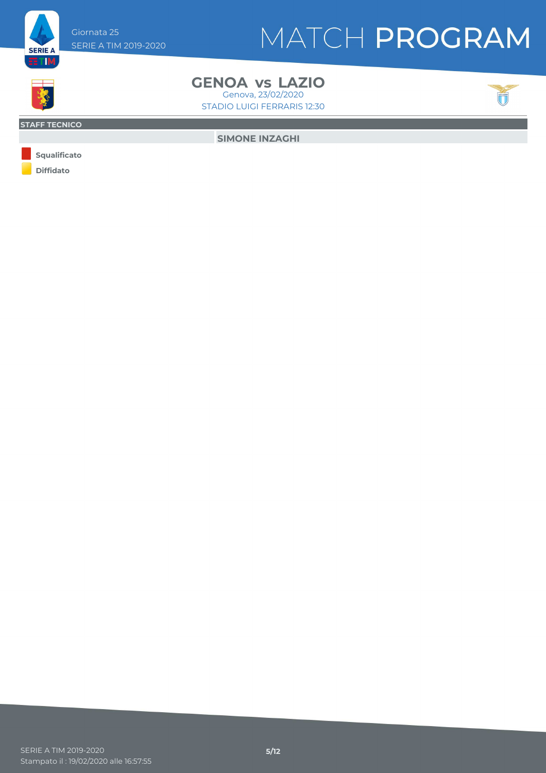

#### Giornata 25 SERIE A TIM 2019-2020

# MATCH PROGRAM



STADIO LUIGI FERRARIS 12:30

#### **STAFF TECNICO**

**SIMONE INZAGHI**

**Diffidato Squalificato**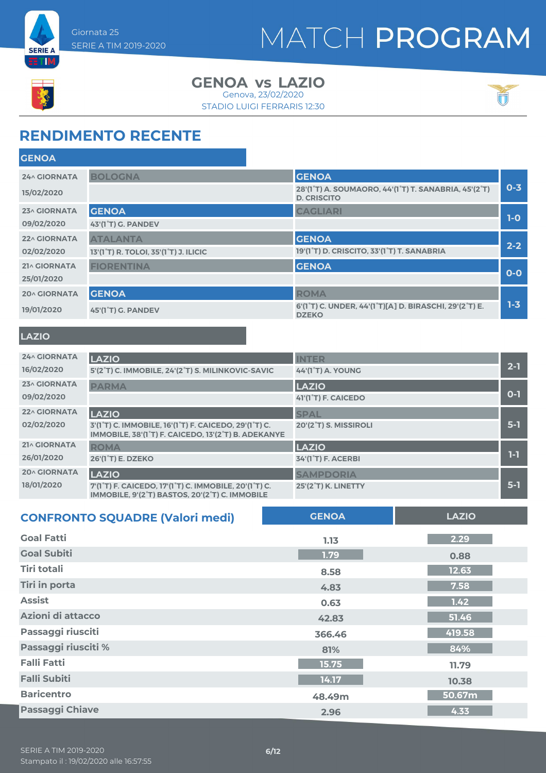



#### **GENOA LAZIO vs** Genova, 23/02/2020

STADIO LUIGI FERRARIS 12:30



### **RENDIMENTO RECENTE**

| <b>GENOA</b>        |                                                                 |                                                                            |         |
|---------------------|-----------------------------------------------------------------|----------------------------------------------------------------------------|---------|
| <b>24^ GIORNATA</b> | <b>BOLOGNA</b>                                                  | <b>GENOA</b>                                                               |         |
| 15/02/2020          |                                                                 | 28'(1°T) A. SOUMAORO, 44'(1°T) T. SANABRIA, 45'(2°T)<br><b>D. CRISCITO</b> | $0 - 3$ |
| 23^ GIORNATA        | <b>GENOA</b>                                                    | <b>CAGLIARI</b>                                                            |         |
| 09/02/2020          | 43'(1°T) G. PANDEV                                              |                                                                            | $1-0$   |
| 22^ GIORNATA        | <b>ATALANTA</b>                                                 | <b>GENOA</b>                                                               |         |
| 02/02/2020          | 13'(1 <sup>°</sup> T) R. TOLOI, 35'(1 <sup>°</sup> T) J. ILICIC | 19'(1 <sup>°</sup> T) D. CRISCITO, 33'(1 <sup>°</sup> T) T. SANABRIA       | $2 - 2$ |
| 21^ GIORNATA        | <b>FIORENTINA</b>                                               | <b>GENOA</b>                                                               |         |
| 25/01/2020          |                                                                 |                                                                            | $0 - 0$ |
| <b>20^ GIORNATA</b> | <b>GENOA</b>                                                    | <b>ROMA</b>                                                                |         |
| 19/01/2020          | 45'(1°T) G. PANDEV                                              | 6'(1°T) C. UNDER, 44'(1°T)[A] D. BIRASCHI, 29'(2°T) E.<br><b>DZEKO</b>     | $1 - 3$ |
|                     |                                                                 |                                                                            |         |

#### **LAZIO**

| 24^ GIORNATA<br>16/02/2020        | <b>LAZIO</b><br>5'(2°T) C. IMMOBILE, 24'(2°T) S. MILINKOVIC-SAVIC                                                                                                                             | <b>INTER</b><br><b>44'(1°T) A. YOUNG</b>         | $2 - 1$ |
|-----------------------------------|-----------------------------------------------------------------------------------------------------------------------------------------------------------------------------------------------|--------------------------------------------------|---------|
| 23^ GIORNATA<br>09/02/2020        | <b>PARMA</b>                                                                                                                                                                                  | <b>LAZIO</b><br>41'(1 <sup>°</sup> T) F. CAICEDO | $O-1$   |
| 22^ GIORNATA<br>02/02/2020        | <b>LAZIO</b><br>3'(1 <sup>°</sup> T) C. IMMOBILE, 16'(1 <sup>°</sup> T) F. CAICEDO, 29'(1 <sup>°</sup> T) C.<br>IMMOBILE, 38'(1 <sup>°</sup> T) F. CAICEDO, 13'(2 <sup>°</sup> T) B. ADEKANYE | <b>SPAL</b><br>20'(2°T) S. MISSIROLI             | $5-1$   |
| 21^ GIORNATA<br>26/01/2020        | <b>ROMA</b><br><b>26'(1°T) E. DZEKO</b>                                                                                                                                                       | <b>LAZIO</b><br><b>34'(1°T) F. ACERBI</b>        | $1-1$   |
| <b>20^ GIORNATA</b><br>18/01/2020 | <b>LAZIO</b><br>7'(1 <sup>°</sup> T) F. CAICEDO, 17'(1 <sup>°</sup> T) C. IMMOBILE, 20'(1 <sup>°</sup> T) C.<br>IMMOBILE, 9'(2 <sup>°</sup> T) BASTOS, 20'(2 <sup>°</sup> T) C. IMMOBILE      | <b>SAMPDORIA</b><br><b>25'(2°T) K. LINETTY</b>   | $5-1$   |

| <b>CONFRONTO SQUADRE (Valori medi)</b> | <b>GENOA</b> | <b>LAZIO</b> |
|----------------------------------------|--------------|--------------|
| <b>Goal Fatti</b>                      | 1.13         | 2.29         |
| <b>Goal Subiti</b>                     | 1.79         | 0.88         |
| Tiri totali                            | 8.58         | 12.63        |
| <b>Tiri in porta</b>                   | 4.83         | 7.58         |
| <b>Assist</b>                          | 0.63         | 1.42         |
| Azioni di attacco                      | 42.83        | 51.46        |
| Passaggi riusciti                      | 366.46       | 419.58       |
| Passaggi riusciti %                    | 81%          | 84%          |
| <b>Falli Fatti</b>                     | 15.75        | 11.79        |
| <b>Falli Subiti</b>                    | 14.17        | 10.38        |
| <b>Baricentro</b>                      | 48.49m       | 50.67m       |
| <b>Passaggi Chiave</b>                 | 2.96         | 4.33         |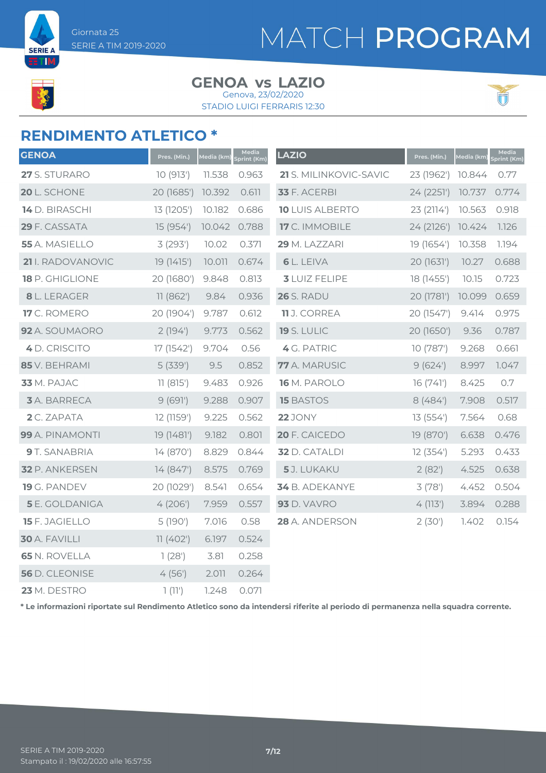

**SERIE A** ETM

# MATCH PROGRAM

#### **GENOA LAZIO vs**

STADIO LUIGI FERRARIS 12:30 Genova, 23/02/2020



### **RENDIMENTO ATLETICO \***

| <b>GENOA</b>          | Pres. (Min.) | Media (km) | Media<br>Sprint (Km) | <b>LAZIO</b>           | Pres. (Min.) | <u>Media (km)</u> | Media<br><b>Sprint (Km)</b> |
|-----------------------|--------------|------------|----------------------|------------------------|--------------|-------------------|-----------------------------|
| 27 S. STURARO         | 10(913)      | 11.538     | 0.963                | 21 S. MILINKOVIC-SAVIC | 23 (1962')   | 10.844            | 0.77                        |
| 20 L. SCHONE          | 20 (1685')   | 10.392     | 0.611                | 33 F. ACERBI           | 24 (2251')   | 10.737            | 0.774                       |
| 14 D. BIRASCHI        | 13 (1205')   | 10.182     | 0.686                | <b>10 LUIS ALBERTO</b> | 23 (2114')   | 10.563            | 0.918                       |
| 29 F. CASSATA         | 15 (954')    | 10.042     | 0.788                | 17 C. IMMOBILE         | 24(2126)     | 10.424            | 1.126                       |
| 55 A. MASIELLO        | 3(293)       | 10.02      | 0.371                | 29 M. LAZZARI          | 19 (1654')   | 10.358            | 1.194                       |
| 21 I. RADOVANOVIC     | 19 (1415')   | 10.011     | 0.674                | <b>6</b> L. LEIVA      | 20 (1631')   | 10.27             | 0.688                       |
| 18 P. GHIGLIONE       | 20 (1680')   | 9.848      | 0.813                | <b>3 LUIZ FELIPE</b>   | 18 (1455')   | 10.15             | 0.723                       |
| 8 L. LERAGER          | 11(862)      | 9.84       | 0.936                | <b>26</b> S. RADU      | 20 (1781')   | 10.099            | 0.659                       |
| 17 C. ROMERO          | 20 (1904')   | 9.787      | 0.612                | 11 J. CORREA           | 20 (1547')   | 9.414             | 0.975                       |
| 92 A. SOUMAORO        | 2(194)       | 9.773      | 0.562                | <b>19 S. LULIC</b>     | 20 (1650')   | 9.36              | 0.787                       |
| 4 D. CRISCITO         | 17 (1542')   | 9.704      | 0.56                 | 4 G. PATRIC            | 10 (787')    | 9.268             | 0.661                       |
| 85 V. BEHRAMI         | 5(339)       | 9.5        | 0.852                | 77 A. MARUSIC          | 9(624)       | 8.997             | 1.047                       |
| 33 M. PAJAC           | 11(815')     | 9.483      | 0.926                | 16 M. PAROLO           | 16(741)      | 8.425             | 0.7                         |
| <b>3</b> A. BARRECA   | 9(691)       | 9.288      | 0.907                | <b>15 BASTOS</b>       | 8(484)       | 7.908             | 0.517                       |
| 2 C. ZAPATA           | 12 (1159')   | 9.225      | 0.562                | <b>22</b> JONY         | 13(554)      | 7.564             | 0.68                        |
| 99 A. PINAMONTI       | 19 (1481')   | 9.182      | 0.801                | 20 F. CAICEDO          | 19 (870')    | 6.638             | 0.476                       |
| 9 T. SANABRIA         | 14 (870')    | 8.829      | 0.844                | <b>32</b> D. CATALDI   | 12(354)      | 5.293             | 0.433                       |
| 32 P. ANKERSEN        | 14(847)      | 8.575      | 0.769                | 5J. LUKAKU             | 2(82)        | 4.525             | 0.638                       |
| 19 G. PANDEV          | 20 (1029')   | 8.541      | 0.654                | 34 B. ADEKANYE         | 3(78)        | 4.452             | 0.504                       |
| <b>5</b> E. GOLDANIGA | 4(206)       | 7.959      | 0.557                | <b>93</b> D. VAVRO     | 4(113)       | 3.894             | 0.288                       |
| 15 F. JAGIELLO        | 5 (190')     | 7.016      | 0.58                 | 28 A. ANDERSON         | 2(30)        | 1.402             | 0.154                       |
| 30 A. FAVILLI         | 11(402)      | 6.197      | 0.524                |                        |              |                   |                             |
| <b>65 N. ROVELLA</b>  | 1(28')       | 3.81       | 0.258                |                        |              |                   |                             |
| 56 D. CLEONISE        | 4(56)        | 2.011      | 0.264                |                        |              |                   |                             |
| 23 M. DESTRO          | 1(11')       | 1.248      | 0.071                |                        |              |                   |                             |

**\* Le informazioni riportate sul Rendimento Atletico sono da intendersi riferite al periodo di permanenza nella squadra corrente.**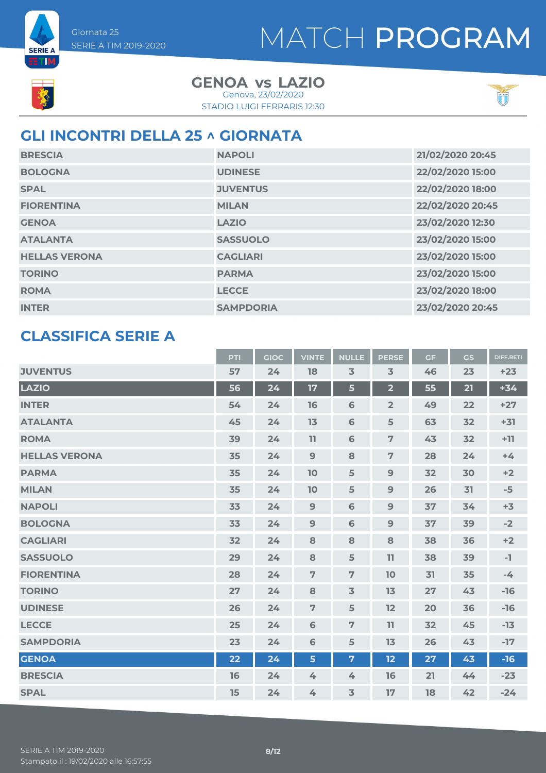



**ETIM** 

**GENOA LAZIO vs** Genova, 23/02/2020

STADIO LUIGI FERRARIS 12:30



### **GLI INCONTRI DELLA 25 ^ GIORNATA**

| <b>BRESCIA</b>       | <b>NAPOLI</b>    | 21/02/2020 20:45 |
|----------------------|------------------|------------------|
| <b>BOLOGNA</b>       | <b>UDINESE</b>   | 22/02/2020 15:00 |
| <b>SPAL</b>          | <b>JUVENTUS</b>  | 22/02/2020 18:00 |
| <b>FIORENTINA</b>    | <b>MILAN</b>     | 22/02/2020 20:45 |
| <b>GENOA</b>         | <b>LAZIO</b>     | 23/02/2020 12:30 |
| <b>ATALANTA</b>      | <b>SASSUOLO</b>  | 23/02/2020 15:00 |
| <b>HELLAS VERONA</b> | <b>CAGLIARI</b>  | 23/02/2020 15:00 |
| <b>TORINO</b>        | <b>PARMA</b>     | 23/02/2020 15:00 |
| <b>ROMA</b>          | <b>LECCE</b>     | 23/02/2020 18:00 |
| <b>INTER</b>         | <b>SAMPDORIA</b> | 23/02/2020 20:45 |

### **CLASSIFICA SERIE A**

|                      | PTI | <b>GIOC</b> | <b>VINTE</b>   | <b>NULLE</b>    | <b>PERSE</b>   | <b>GF</b> | GS | <b>DIFF.RETI</b> |
|----------------------|-----|-------------|----------------|-----------------|----------------|-----------|----|------------------|
| <b>JUVENTUS</b>      | 57  | 24          | 18             | $\overline{3}$  | $\overline{3}$ | 46        | 23 | $+23$            |
| <b>LAZIO</b>         | 56  | 24          | 17             | $5\phantom{a}$  | $\overline{2}$ | 55        | 21 | $+34$            |
| <b>INTER</b>         | 54  | 24          | 16             | $6\phantom{1}6$ | $\overline{2}$ | 49        | 22 | $+27$            |
| <b>ATALANTA</b>      | 45  | 24          | 13             | $6\phantom{1}6$ | 5              | 63        | 32 | $+31$            |
| <b>ROMA</b>          | 39  | 24          | 11             | 6               | $\overline{7}$ | 43        | 32 | $+11$            |
| <b>HELLAS VERONA</b> | 35  | 24          | 9              | 8               | $\overline{7}$ | 28        | 24 | $+4$             |
| <b>PARMA</b>         | 35  | 24          | 10             | 5               | $\mathbf{9}$   | 32        | 30 | $+2$             |
| <b>MILAN</b>         | 35  | 24          | 10             | 5               | $\overline{9}$ | 26        | 31 | $-5$             |
| <b>NAPOLI</b>        | 33  | 24          | 9              | 6               | 9              | 37        | 34 | $+3$             |
| <b>BOLOGNA</b>       | 33  | 24          | 9              | $\mathbf 6$     | $\mathbf 9$    | 37        | 39 | $-2$             |
| <b>CAGLIARI</b>      | 32  | 24          | 8              | 8               | 8              | 38        | 36 | $+2$             |
| <b>SASSUOLO</b>      | 29  | 24          | 8              | 5               | 11             | 38        | 39 | $-1$             |
| <b>FIORENTINA</b>    | 28  | 24          | $\overline{7}$ | $\overline{7}$  | 10             | 31        | 35 | $-4$             |
| <b>TORINO</b>        | 27  | 24          | 8              | $\overline{3}$  | 13             | 27        | 43 | $-16$            |
| <b>UDINESE</b>       | 26  | 24          | $\overline{7}$ | 5               | 12             | 20        | 36 | $-16$            |
| <b>LECCE</b>         | 25  | 24          | 6              | $\overline{7}$  | 11             | 32        | 45 | $-13$            |
| <b>SAMPDORIA</b>     | 23  | 24          | 6              | 5               | 13             | 26        | 43 | $-17$            |
| <b>GENOA</b>         | 22  | 24          | 5              | $\overline{7}$  | 12             | 27        | 43 | $-16$            |
| <b>BRESCIA</b>       | 16  | 24          | 4              | 4               | 16             | 21        | 44 | $-23$            |
| <b>SPAL</b>          | 15  | 24          | 4              | $\overline{3}$  | 17             | 18        | 42 | $-24$            |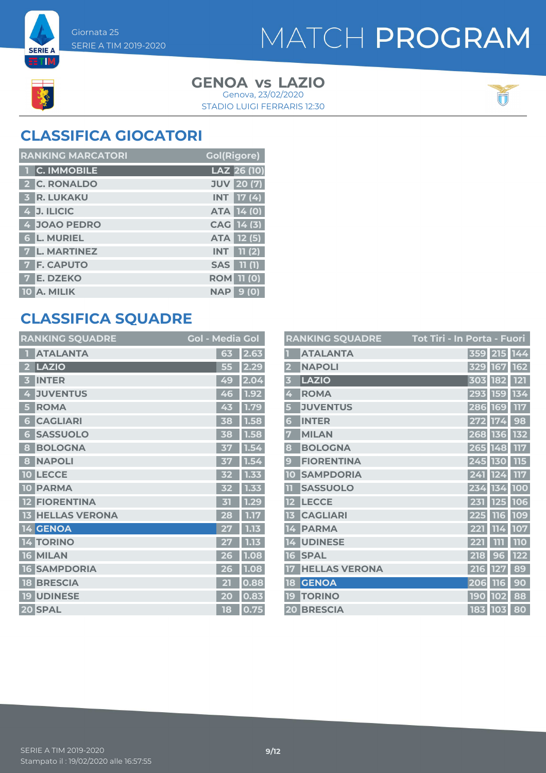



**SERIE A BTIM** 

> **GENOA LAZIO vs** Genova, 23/02/2020

STADIO LUIGI FERRARIS 12:30



### **CLASSIFICA GIOCATORI**

| <b>RANKING MARCATORI</b> | <b>Gol(Rigore)</b> |
|--------------------------|--------------------|
| 1 C. IMMOBILE            | LAZ 26 (10)        |
| 2 C. RONALDO             | <b>JUV</b> 20 (7)  |
| <b>3 R. LUKAKU</b>       | $INT$ 17 (4)       |
| $4$ J. ILICIC            | <b>ATA 14 (0)</b>  |
| 4 JOAO PEDRO             | CAG 14 (3)         |
| <b>6 L. MURIEL</b>       | ATA 12 (5)         |
| <b>7 L. MARTINEZ</b>     | $INT$ $11(2)$      |
| <b>7 F. CAPUTO</b>       | <b>SAS</b> 11 (1)  |
| <b>7 E. DZEKO</b>        | <b>ROM 11 (0)</b>  |
| 10 A. MILIK              | 9(0)<br><b>NAP</b> |

### **CLASSIFICA SQUADRE**

| <b>RANKING SQUADRE</b>     | <b>Gol - Media Gol</b>                          |      |
|----------------------------|-------------------------------------------------|------|
| <b>ATALANTA</b>            | 63                                              | 2.63 |
| <b>LAZIO</b><br>2          | 55                                              | 2.29 |
| <b>INTER</b><br>B          | 49                                              | 2.04 |
| <b>JUVENTUS</b><br>4       | 46                                              | 1.92 |
| <b>ROMA</b><br>5           | 43                                              | 1.79 |
| <b>CAGLIARI</b><br>6       | 38                                              | 1.58 |
| <b>SASSUOLO</b><br>6       | 38                                              | 1.58 |
| <b>BOLOGNA</b><br>8        | 37                                              | 1.54 |
| <b>NAPOLI</b><br>8         | 37                                              | 1.54 |
| <b>LECCE</b><br>10         | 52                                              | 1.33 |
| <b>PARMA</b><br>10         | 32                                              | 1.33 |
| <b>FIORENTINA</b>          | $\overline{51}$                                 | 1.29 |
| <b>HELLAS VERONA</b><br>13 | 28                                              | 1.17 |
| 14 GENOA                   | 27                                              | 1.13 |
| <b>TORINO</b><br>14        |                                                 | 1.13 |
| <b>MILAN</b><br>16         | 26                                              | 1.08 |
| <b>SAMPDORIA</b><br>16     | 26                                              | 1.08 |
| <b>BRESCIA</b><br>18       | $\overline{\mathbf{2}}$ $\overline{\mathbf{2}}$ | 0.88 |
| <b>UDINESE</b><br>19       | 20                                              | 0.83 |
| 20 SPAL                    | 18                                              | 0.75 |

|                         | <b>RANKING SQUADRE</b> | Tot Tiri - In Porta - Fuori |
|-------------------------|------------------------|-----------------------------|
|                         | <b>ATALANTA</b>        | 359 215 144                 |
| $\overline{\mathbf{2}}$ | <b>NAPOLI</b>          | 162<br>329 167              |
| $\overline{\mathbf{3}}$ | <b>LAZIO</b>           | <b>121</b><br>303 182       |
| 4                       | <b>ROMA</b>            | 134<br>293 159              |
| 5                       | <b>JUVENTUS</b>        | 117<br>286 169              |
| 6                       | <b>INTER</b>           | 272 174<br>98               |
| 7                       | <b>MILAN</b>           | 132<br>268 136              |
| 8                       | <b>BOLOGNA</b>         | 265 148<br>117              |
| $\boldsymbol{9}$        | <b>FIORENTINA</b>      | 245 130<br>115              |
| 10                      | <b>SAMPDORIA</b>       | 241 124<br>117              |
| $\overline{1}$          | <b>SASSUOLO</b>        | 100<br>234 134              |
|                         | <b>LECCE</b>           | 106<br>231 125              |
| 13                      | <b>CAGLIARI</b>        | 109<br>225 116              |
| 14                      | <b>PARMA</b>           | 221 114<br>107              |
| 14                      | <b>UDINESE</b>         | 110<br>111<br>221           |
| 16                      | <b>SPAL</b>            | 122<br>218<br>96            |
|                         | <b>HELLAS VERONA</b>   | 89<br>216<br><b>127</b>     |
| 18                      | <b>GENOA</b>           | 90<br>206<br><b>116</b>     |
| 19                      | <b>TORINO</b>          | 88<br><b>190</b><br>102     |
|                         | <b>20 BRESCIA</b>      | 183 103<br>80               |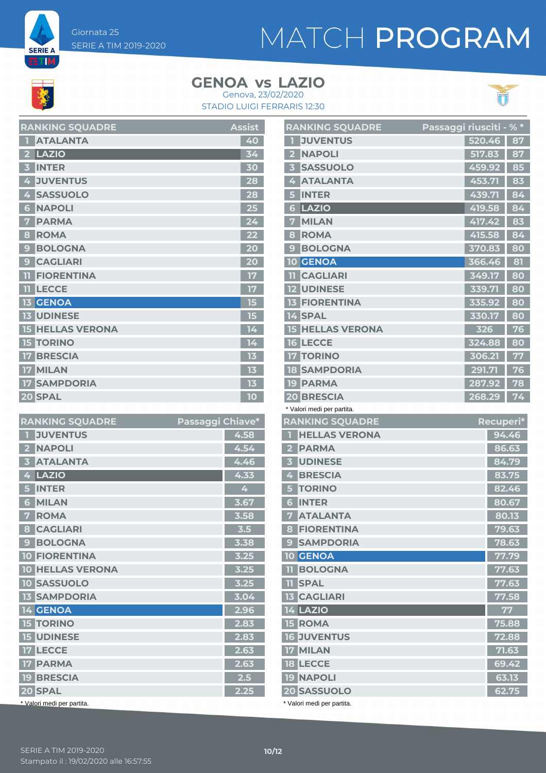

**SERIE A** ETIM,

> **GENOA LAZIO vs** Genova, 23/02/2020

STADIO LUIGI FERRARIS 12:30



| <b>RANKING SQUADRE</b>              | <b>Assist</b> |
|-------------------------------------|---------------|
| <b>ATALANTA</b>                     | 40            |
| LAZIO                               | 34            |
| <b>INTER</b>                        | 30            |
| <b>JUVENTUS</b><br>4                | 28            |
| <b>SASSUOLO</b><br>4                | 28            |
| <b>NAPOLI</b><br>6                  | 25            |
| <b>PARMA</b>                        | 24            |
| <b>ROMA</b><br>8                    |               |
| <b>BOLOGNA</b><br>9                 | 20            |
| <b>CAGLIARI</b><br>9                | 20            |
| <b>FIORENTINA</b><br>11             | 17            |
| <b>LECCE</b><br>11                  | 17            |
| <b>13 GENOA</b>                     | 15            |
| <b>13 UDINESE</b>                   | 15            |
| <b>HELLAS VERONA</b><br>15          | 14            |
| <b>TORINO</b><br>15                 | 14            |
| <b>BRESCIA</b>                      | 13            |
| <b>MILAN</b><br>17                  | 13            |
| <b>SAMPDORIA</b><br>17 <sup>7</sup> | 13            |
| 20 SPAL                             | 10            |

| <b>RANKING SQUADRE</b>                     | Passaggi Chiave* |      |
|--------------------------------------------|------------------|------|
| <b>JUVENTUS</b>                            |                  | 4.58 |
| <b>NAPOLI</b>                              |                  | 4.54 |
| <b>ATALANTA</b><br>$\overline{\mathbf{3}}$ |                  | 4.46 |
| LAZIO<br>4                                 |                  | 4.33 |
| <b>INTER</b><br>5                          |                  | 4    |
| <b>MILAN</b><br>6                          |                  | 3.67 |
| <b>ROMA</b><br>7                           |                  | 3.58 |
| <b>CAGLIARI</b><br>8                       |                  | 3.5  |
| <b>BOLOGNA</b><br>9                        |                  | 3.38 |
| <b>10 FIORENTINA</b>                       |                  | 3.25 |
| <b>10 HELLAS VERONA</b>                    |                  | 3.25 |
| <b>10 SASSUOLO</b>                         |                  | 3.25 |
| <b>13 SAMPDORIA</b>                        |                  | 3.04 |
| 14 GENOA                                   |                  | 2.96 |
| <b>15 TORINO</b>                           |                  | 2.83 |
| <b>15 UDINESE</b>                          |                  | 2.83 |
| <b>17 LECCE</b>                            |                  | 2.63 |
| <b>17 PARMA</b>                            |                  | 2.63 |
| <b>19 BRESCIA</b>                          |                  | 2.5  |
| 20 SPAL                                    |                  | 2.25 |
| * Valori medi per partita.                 |                  |      |

|                | <b>RANKING SQUADRE</b>                           | <b>Passaggi riusciti -</b> % * |        |           |
|----------------|--------------------------------------------------|--------------------------------|--------|-----------|
| П              | <b>JUVENTUS</b>                                  |                                | 520.46 | 87        |
| $\mathbf{2}$   | <b>NAPOLI</b>                                    |                                | 517.83 | 87        |
|                | 3 SASSUOLO                                       |                                | 459.92 | 85        |
| 4              | <b>ATALANTA</b>                                  |                                | 453.71 | 83        |
| 5              | <b>INTER</b>                                     |                                | 439.71 | 84        |
| 6              | <b>LAZIO</b>                                     |                                | 419.58 | 84        |
| 7              | <b>MILAN</b>                                     |                                | 417.42 | 83        |
| 8              | <b>ROMA</b>                                      |                                | 415.58 | 84        |
| 9              | <b>BOLOGNA</b>                                   |                                | 370.83 | 80        |
|                | <b>10 GENOA</b>                                  |                                | 366.46 | 81        |
|                | <b>II CAGLIARI</b>                               |                                | 349.17 | 80        |
|                | <b>12 UDINESE</b>                                |                                | 339.71 | 80        |
|                | <b>13 FIORENTINA</b>                             |                                | 335.92 | 80        |
|                | 14 SPAL                                          |                                | 330.17 | 80        |
|                | <b>15 HELLAS VERONA</b>                          |                                | 326    | 76        |
|                | <b>16 LECCE</b>                                  |                                | 324.88 | 80        |
|                | <b>17 TORINO</b>                                 |                                | 306.21 | 77        |
|                | <b>18 SAMPDORIA</b>                              |                                | 291.71 | 76        |
|                | <b>19 PARMA</b>                                  |                                | 287.92 | 78        |
|                | <b>20 BRESCIA</b>                                |                                | 268.29 | 74        |
|                | * Valori medi per partita.                       |                                |        |           |
|                | <b>RANKING SQUADRE</b>                           |                                |        | Recuperi* |
| П              | <b>HELLAS VERONA</b>                             |                                |        | 94.46     |
|                | 2 PARMA                                          |                                |        | 86.63     |
| 3 <sup>1</sup> | <b>UDINESE</b>                                   |                                |        | 84.79     |
|                | 4 BRESCIA                                        |                                |        | 83.75     |
| 5 <sup>1</sup> | <b>TORINO</b>                                    |                                |        | 82.46     |
|                | <b>6 INTER</b>                                   |                                |        | 80.67     |
|                |                                                  |                                |        |           |
| 7              | <b>ATALANTA</b>                                  |                                |        | 80.13     |
|                | <b>8 FIORENTINA</b>                              |                                |        | 79.63     |
|                | <b>9 SAMPDORIA</b>                               |                                |        | 78.63     |
|                | 10 GENOA                                         |                                |        | 77.79     |
|                | <b>TI BOLOGNA</b>                                |                                |        | 77.63     |
| $\mathbf{11}$  | <b>SPAL</b>                                      |                                |        | 77.63     |
|                | <b>13 CAGLIARI</b>                               |                                |        | 77.58     |
|                | <b>14 LAZIO</b>                                  |                                |        | 77        |
|                | <b>15 ROMA</b>                                   |                                |        | 75.88     |
|                | <b>16 JUVENTUS</b>                               |                                |        | 72.88     |
|                | <b>17 MILAN</b>                                  |                                |        | 71.63     |
|                | <b>18 LECCE</b>                                  |                                |        | 69.42     |
|                | <b>19 NAPOLI</b>                                 |                                |        | 63.13     |
|                | <b>20 SASSUOLO</b><br>* Valori medi per partita. |                                |        | 62.75     |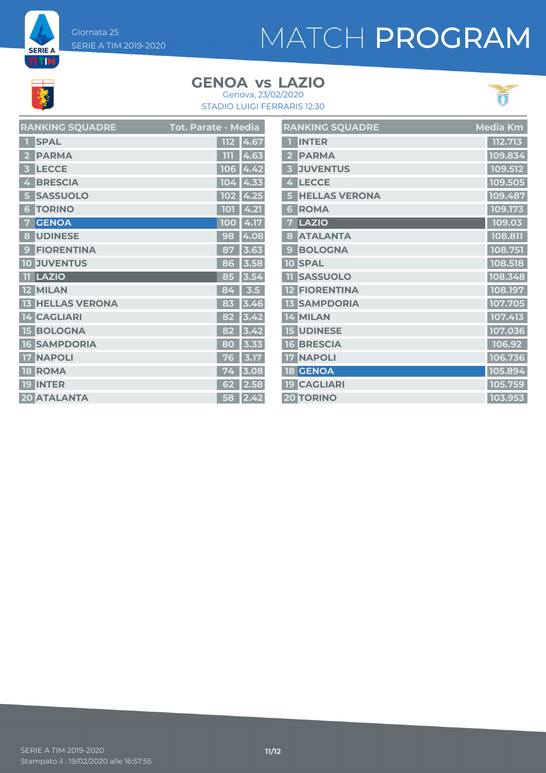Giornata 25 SERIE A TIM 2019-2020

# MATCH PROGRAM

**SERIE A ETIM** 

#### **GENOA LAZIO vs** Genova, 23/02/2020





|                         | <b>RANKING SQUADRE</b> | Tot. Parate - Media |
|-------------------------|------------------------|---------------------|
|                         | <b>SPAL</b>            | 4.67<br>112         |
| $\overline{\mathbf{2}}$ | <b>PARMA</b>           | 4.63<br>m           |
| 3                       | <b>LECCE</b>           | 4.42<br>106         |
| 4                       | <b>BRESCIA</b>         | 104<br>4.33         |
| 5                       | <b>SASSUOLO</b>        | 4.25<br>102         |
| 6                       | <b>TORINO</b>          | 4.21<br>101         |
| 7                       | <b>GENOA</b>           | 4.17<br>100         |
| 8                       | <b>UDINESE</b>         | 4.08<br>98          |
| $\mathbf{9}$            | <b>FIORENTINA</b>      | 3.63<br>87          |
|                         | <b>10 JUVENTUS</b>     | 3.58<br>86          |
| 11                      | LAZIO                  | 3.54<br>85          |
|                         | 12 MILAN               | 3.5<br>84           |
| 13                      | <b>HELLAS VERONA</b>   | 83<br>3.46          |
|                         | <b>14 CAGLIARI</b>     | 82<br>3.42          |
|                         | <b>15 BOLOGNA</b>      | 3.42<br>82          |
| 16                      | <b>SAMPDORIA</b>       | 80<br>3.33          |
| 17                      | <b>NAPOLI</b>          | 3.17<br>76          |
| 18                      | <b>ROMA</b>            | 3.08<br>74          |
| 19                      | <b>INTER</b>           | 62<br>2.58          |
|                         | <b>20 ATALANTA</b>     | 2.42<br>58          |

|                         | <b>RANKING SQUADRE</b> | Media Km |
|-------------------------|------------------------|----------|
| П                       | <b>INTER</b>           | 112.713  |
| 2                       | <b>PARMA</b>           | 109.834  |
| $\overline{\mathbf{3}}$ | <b>JUVENTUS</b>        | 109.512  |
| 4                       | <b>LECCE</b>           | 109.505  |
| 5                       | <b>HELLAS VERONA</b>   | 109.487  |
| 6                       | <b>ROMA</b>            | 109.173  |
| 7                       | LAZIO                  | 109.03   |
| 8                       | <b>ATALANTA</b>        | 108.811  |
| $\mathbf{g}$            | <b>BOLOGNA</b>         | 108.751  |
| 10                      | <b>SPAL</b>            | 108.518  |
| 11                      | <b>SASSUOLO</b>        | 108.348  |
|                         | <b>12 FIORENTINA</b>   | 108.197  |
|                         | <b>13 SAMPDORIA</b>    | 107.705  |
|                         | 14 MILAN               | 107.413  |
|                         | <b>15 UDINESE</b>      | 107.036  |
|                         | <b>16 BRESCIA</b>      | 106.92   |
|                         | <b>17 NAPOLI</b>       | 106.736  |
|                         | <b>18 GENOA</b>        | 105.894  |
|                         | <b>19 CAGLIARI</b>     | 105.759  |
|                         | <b>20 TORINO</b>       | 103.953  |